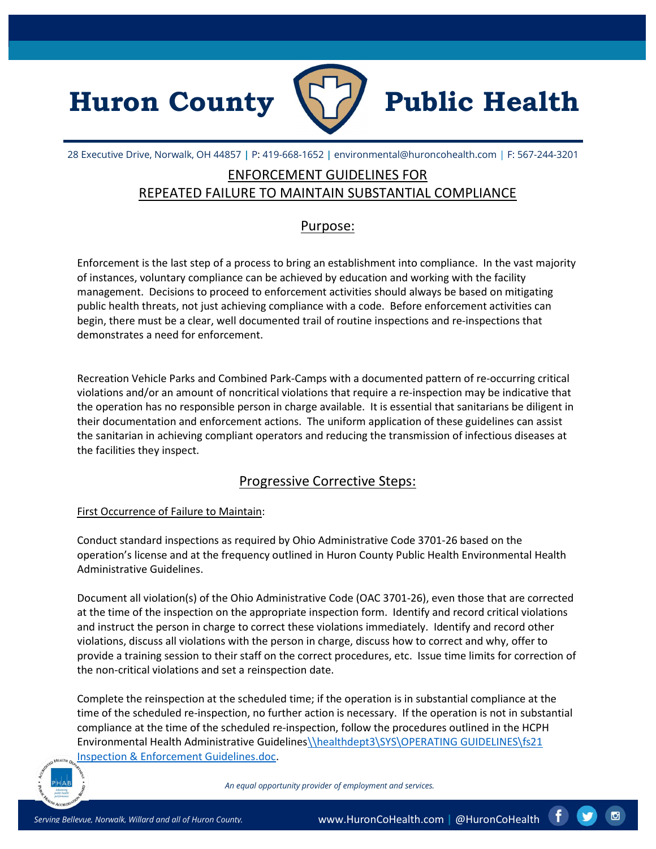



28 Executive Drive, Norwalk, OH 44857 | P: 419-668-1652 | environmental@huroncohealth.com | F: 567-244-3201

# ENFORCEMENT GUIDELINES FOR REPEATED FAILURE TO MAINTAIN SUBSTANTIAL COMPLIANCE

### Purpose:

Enforcement is the last step of a process to bring an establishment into compliance. In the vast majority of instances, voluntary compliance can be achieved by education and working with the facility management. Decisions to proceed to enforcement activities should always be based on mitigating public health threats, not just achieving compliance with a code. Before enforcement activities can begin, there must be a clear, well documented trail of routine inspections and re-inspections that demonstrates a need for enforcement.

Recreation Vehicle Parks and Combined Park-Camps with a documented pattern of re-occurring critical violations and/or an amount of noncritical violations that require a re-inspection may be indicative that the operation has no responsible person in charge available. It is essential that sanitarians be diligent in their documentation and enforcement actions. The uniform application of these guidelines can assist the sanitarian in achieving compliant operators and reducing the transmission of infectious diseases at the facilities they inspect.

## Progressive Corrective Steps:

#### First Occurrence of Failure to Maintain:

Conduct standard inspections as required by Ohio Administrative Code 3701-26 based on the operation's license and at the frequency outlined in Huron County Public Health Environmental Health Administrative Guidelines.

Document all violation(s) of the Ohio Administrative Code (OAC 3701-26), even those that are corrected at the time of the inspection on the appropriate inspection form. Identify and record critical violations and instruct the person in charge to correct these violations immediately. Identify and record other violations, discuss all violations with the person in charge, discuss how to correct and why, offer to provide a training session to their staff on the correct procedures, etc. Issue time limits for correction of the non-critical violations and set a reinspection date.

Complete the reinspection at the scheduled time; if the operation is in substantial compliance at the time of the scheduled re-inspection, no further action is necessary. If the operation is not in substantial compliance at the time of the scheduled re-inspection, follow the procedures outlined in the HCPH Environmental Health Administrative Guidelines\\healthdept3\SYS\OPERATING GUIDELINES\fs21 Inspection & Enforcement Guidelines.doc.



An equal opportunity provider of employment and services.

Ю